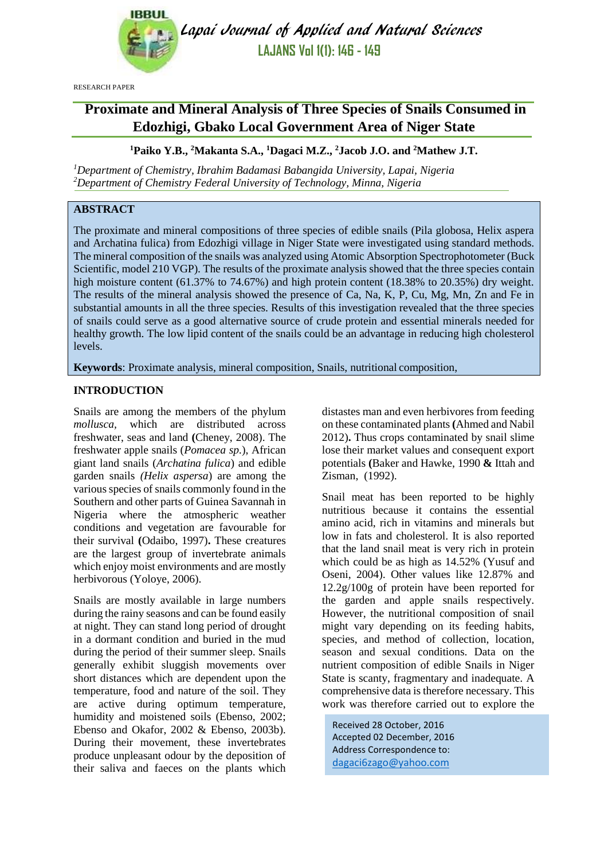

Lapai Journal of Applied and Natural Sciences **LAJANS Vol 1(1): 146 - 149**

RESEARCH PAPER

# **Proximate and Mineral Analysis of Three Species of Snails Consumed in Edozhigi, Gbako Local Government Area of Niger State**

**<sup>1</sup>Paiko Y.B., <sup>2</sup>Makanta S.A., <sup>1</sup>Dagaci M.Z., <sup>2</sup>Jacob J.O. and <sup>2</sup>Mathew J.T.**

*<sup>1</sup>Department of Chemistry, Ibrahim Badamasi Babangida University, Lapai, Nigeria <sup>2</sup>Department of Chemistry Federal University of Technology, Minna, Nigeria*

# **ABSTRACT**

The proximate and mineral compositions of three species of edible snails (Pila globosa, Helix aspera and Archatina fulica) from Edozhigi village in Niger State were investigated using standard methods. The mineral composition of the snails was analyzed using Atomic Absorption Spectrophotometer (Buck Scientific, model 210 VGP). The results of the proximate analysis showed that the three species contain high moisture content (61.37% to 74.67%) and high protein content (18.38% to 20.35%) dry weight. The results of the mineral analysis showed the presence of Ca, Na, K, P, Cu, Mg, Mn, Zn and Fe in substantial amounts in all the three species. Results of this investigation revealed that the three species of snails could serve as a good alternative source of crude protein and essential minerals needed for healthy growth. The low lipid content of the snails could be an advantage in reducing high cholesterol levels.

**Keywords**: Proximate analysis, mineral composition, Snails, nutritional composition,

## **INTRODUCTION**

Snails are among the members of the phylum *mollusca,* which are distributed across freshwater, seas and land **(**Cheney, 2008). The freshwater apple snails (*Pomacea sp.*), African giant land snails (*Archatina fulica*) and edible garden snails *(Helix aspersa*) are among the various species of snails commonly found in the Southern and other parts of Guinea Savannah in Nigeria where the atmospheric weather conditions and vegetation are favourable for their survival **(**Odaibo, 1997)**.** These creatures are the largest group of invertebrate animals which enjoy moist environments and are mostly herbivorous (Yoloye, 2006).

Snails are mostly available in large numbers during the rainy seasons and can be found easily at night. They can stand long period of drought in a dormant condition and buried in the mud during the period of their summer sleep. Snails generally exhibit sluggish movements over short distances which are dependent upon the temperature, food and nature of the soil. They are active during optimum temperature, humidity and moistened soils (Ebenso, 2002; Ebenso and Okafor, 2002 & Ebenso, 2003b). During their movement, these invertebrates produce unpleasant odour by the deposition of their saliva and faeces on the plants which distastes man and even herbivores from feeding on these contaminated plants**(**Ahmed and Nabil 2012)**.** Thus crops contaminated by snail slime lose their market values and consequent export potentials **(**Baker and Hawke, 1990 **&** Ittah and Zisman, (1992).

Snail meat has been reported to be highly nutritious because it contains the essential amino acid, rich in vitamins and minerals but low in fats and cholesterol. It is also reported that the land snail meat is very rich in protein which could be as high as 14.52% (Yusuf and Oseni, 2004). Other values like 12.87% and 12.2g/100g of protein have been reported for the garden and apple snails respectively. However, the nutritional composition of snail might vary depending on its feeding habits, species, and method of collection, location, season and sexual conditions. Data on the nutrient composition of edible Snails in Niger State is scanty, fragmentary and inadequate. A comprehensive data is therefore necessary. This work was therefore carried out to explore the

Received 28 October, 2016 Accepted 02 December, 2016 Address Correspondence to: [dagaci6zago@yahoo.com](mailto:dagaci6zago@yahoo.com)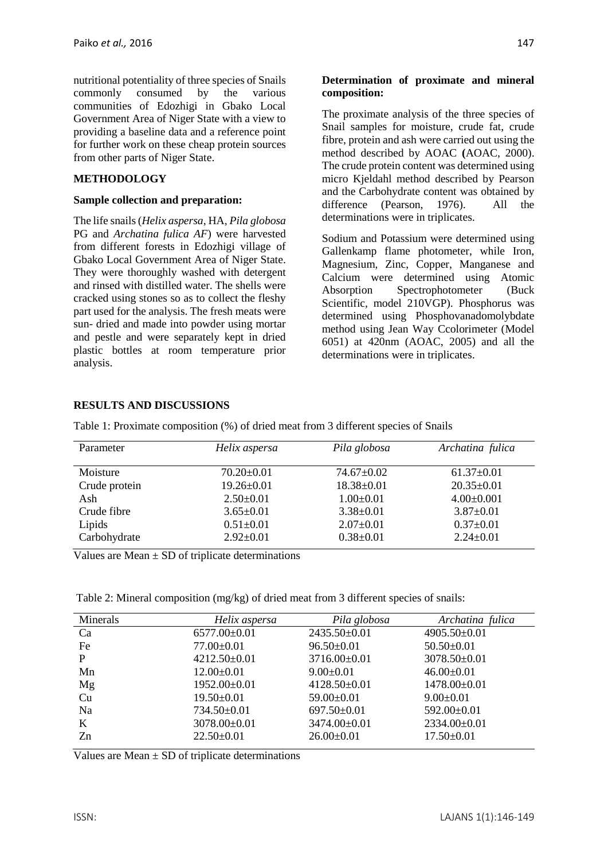nutritional potentiality of three species of Snails commonly consumed by the various communities of Edozhigi in Gbako Local Government Area of Niger State with a view to providing a baseline data and a reference point for further work on these cheap protein sources from other parts of Niger State.

# **METHODOLOGY**

#### **Sample collection and preparation:**

The life snails (*Helix aspersa*, HA, *Pila globosa* PG and *Archatina fulica AF*) were harvested from different forests in Edozhigi village of Gbako Local Government Area of Niger State. They were thoroughly washed with detergent and rinsed with distilled water. The shells were cracked using stones so as to collect the fleshy part used for the analysis. The fresh meats were sun- dried and made into powder using mortar and pestle and were separately kept in dried plastic bottles at room temperature prior analysis.

## **Determination of proximate and mineral composition:**

The proximate analysis of the three species of Snail samples for moisture, crude fat, crude fibre, protein and ash were carried out using the method described by AOAC **(**AOAC, 2000). The crude protein content was determined using micro Kjeldahl method described by Pearson and the Carbohydrate content was obtained by difference (Pearson, 1976). All the determinations were in triplicates.

Sodium and Potassium were determined using Gallenkamp flame photometer, while Iron, Magnesium, Zinc, Copper, Manganese and Calcium were determined using Atomic Absorption Spectrophotometer (Buck Scientific, model 210VGP). Phosphorus was determined using Phosphovanadomolybdate method using Jean Way Ccolorimeter (Model 6051) at 420nm (AOAC, 2005) and all the determinations were in triplicates.

## **RESULTS AND DISCUSSIONS**

Table 1: Proximate composition (%) of dried meat from 3 different species of Snails

| Parameter     | Helix aspersa    | Pila globosa     | Archatina fulica |
|---------------|------------------|------------------|------------------|
| Moisture      | $70.20 \pm 0.01$ | $74.67 \pm 0.02$ | $61.37 \pm 0.01$ |
| Crude protein | $19.26 \pm 0.01$ | $18.38 \pm 0.01$ | $20.35 \pm 0.01$ |
| Ash           | $2.50 \pm 0.01$  | $1.00 \pm 0.01$  | $4.00 \pm 0.001$ |
| Crude fibre   | $3.65 \pm 0.01$  | $3.38 \pm 0.01$  | $3.87 \pm 0.01$  |
| Lipids        | $0.51 \pm 0.01$  | $2.07 \pm 0.01$  | $0.37 \pm 0.01$  |
| Carbohydrate  | $2.92 \pm 0.01$  | $0.38 \pm 0.01$  | $2.24 \pm 0.01$  |

Values are Mean  $\pm$  SD of triplicate determinations

Table 2: Mineral composition (mg/kg) of dried meat from 3 different species of snails:

| Minerals | Helix aspersa      | Pila globosa      | Archatina fulica   |
|----------|--------------------|-------------------|--------------------|
| Ca       | $6577.00 \pm 0.01$ | 2435.50±0.01      | 4905.50±0.01       |
| Fe       | $77.00 \pm 0.01$   | $96.50 \pm 0.01$  | $50.50 \pm 0.01$   |
| P        | $4212.50\pm0.01$   | 3716.00±0.01      | 3078.50±0.01       |
| Mn       | $12.00 \pm 0.01$   | $9.00 \pm 0.01$   | $46.00 \pm 0.01$   |
| Mg       | 1952.00±0.01       | $4128.50\pm0.01$  | $1478.00 \pm 0.01$ |
| Cu       | $19.50 \pm 0.01$   | $59.00 \pm 0.01$  | $9.00 \pm 0.01$    |
| Na       | $734.50 \pm 0.01$  | $697.50 \pm 0.01$ | $592.00 \pm 0.01$  |
| K        | 3078.00±0.01       | 3474.00±0.01      | 2334.00±0.01       |
| Zn       | $22.50 \pm 0.01$   | $26.00\pm0.01$    | $17.50 \pm 0.01$   |

Values are Mean  $\pm$  SD of triplicate determinations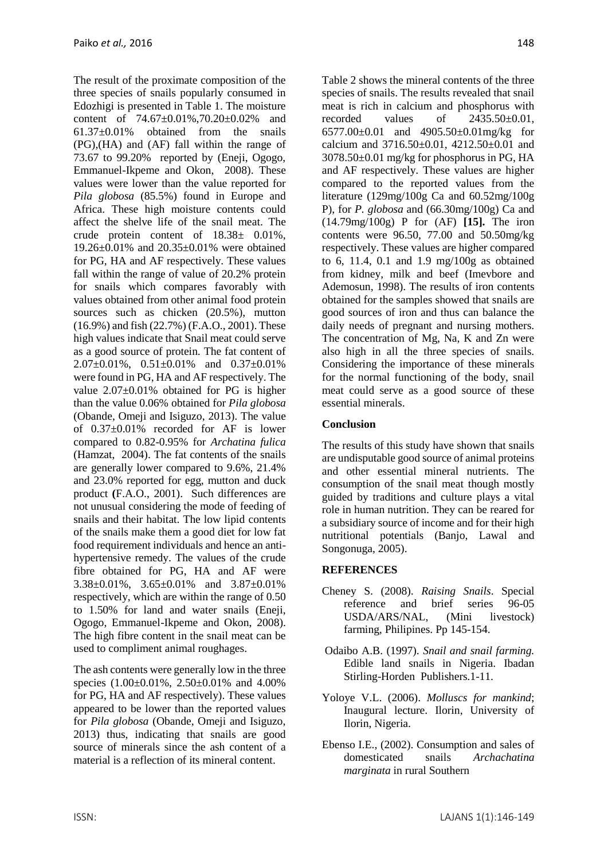The result of the proximate composition of the three species of snails popularly consumed in Edozhigi is presented in Table 1. The moisture content of 74.67±0.01%,70.20±0.02% and 61.37±0.01% obtained from the snails (PG),(HA) and (AF) fall within the range of 73.67 to 99.20% reported by (Eneji, Ogogo, Emmanuel-Ikpeme and Okon, 2008). These values were lower than the value reported for *Pila globosa* (85.5%) found in Europe and Africa. These high moisture contents could affect the shelve life of the snail meat. The crude protein content of 18.38± 0.01%, 19.26±0.01% and 20.35±0.01% were obtained for PG, HA and AF respectively. These values fall within the range of value of 20.2% protein for snails which compares favorably with values obtained from other animal food protein sources such as chicken (20.5%), mutton (16.9%) and fish (22.7%) (F.A.O., 2001). These high values indicate that Snail meat could serve as a good source of protein. The fat content of 2.07±0.01%, 0.51±0.01% and 0.37±0.01% were found in PG, HA and AF respectively. The value 2.07±0.01% obtained for PG is higher than the value 0.06% obtained for *Pila globosa*  (Obande, Omeji and Isiguzo, 2013). The value of 0.37±0.01% recorded for AF is lower compared to 0.82-0.95% for *Archatina fulica* (Hamzat, 2004). The fat contents of the snails are generally lower compared to 9.6%, 21.4% and 23.0% reported for egg, mutton and duck product **(**F.A.O., 2001). Such differences are not unusual considering the mode of feeding of snails and their habitat. The low lipid contents of the snails make them a good diet for low fat food requirement individuals and hence an antihypertensive remedy. The values of the crude fibre obtained for PG, HA and AF were 3.38±0.01%, 3.65±0.01% and 3.87±0.01% respectively, which are within the range of 0.50 to 1.50% for land and water snails (Eneji, Ogogo, Emmanuel-Ikpeme and Okon, 2008). The high fibre content in the snail meat can be used to compliment animal roughages.

The ash contents were generally low in the three species (1.00±0.01%, 2.50±0.01% and 4.00% for PG, HA and AF respectively). These values appeared to be lower than the reported values for *Pila globosa* (Obande, Omeji and Isiguzo, 2013) thus, indicating that snails are good source of minerals since the ash content of a material is a reflection of its mineral content.

Table 2 shows the mineral contents of the three species of snails. The results revealed that snail meat is rich in calcium and phosphorus with recorded values of 2435.50±0.01, 6577.00±0.01 and 4905.50±0.01mg/kg for calcium and 3716.50±0.01, 4212.50±0.01 and 3078.50±0.01 mg/kg for phosphorus in PG, HA and AF respectively. These values are higher compared to the reported values from the literature (129mg/100g Ca and 60.52mg/100g P), for *P. globosa* and (66.30mg/100g) Ca and (14.79mg/100g) P for (AF) **[15].** The iron contents were 96.50, 77.00 and 50.50mg/kg respectively. These values are higher compared to 6, 11.4, 0.1 and 1.9 mg/100g as obtained from kidney, milk and beef (Imevbore and Ademosun, 1998). The results of iron contents obtained for the samples showed that snails are good sources of iron and thus can balance the daily needs of pregnant and nursing mothers. The concentration of Mg, Na, K and Zn were also high in all the three species of snails. Considering the importance of these minerals for the normal functioning of the body, snail meat could serve as a good source of these essential minerals.

# **Conclusion**

The results of this study have shown that snails are undisputable good source of animal proteins and other essential mineral nutrients. The consumption of the snail meat though mostly guided by traditions and culture plays a vital role in human nutrition. They can be reared for a subsidiary source of income and for their high nutritional potentials (Banjo, Lawal and Songonuga, 2005).

# **REFERENCES**

- Cheney S. (2008). *Raising Snails*. Special reference and brief series 96-05 USDA/ARS/NAL, (Mini livestock) farming, Philipines. Pp 145-154.
- Odaibo A.B. (1997). *Snail and snail farming.* Edible land snails in Nigeria. Ibadan Stirling-Horden Publishers.1-11.
- Yoloye V.L. (2006). *Molluscs for mankind*; Inaugural lecture. Ilorin, University of Ilorin, Nigeria.
- Ebenso I.E., (2002). Consumption and sales of domesticated snails *Archachatina marginata* in rural Southern